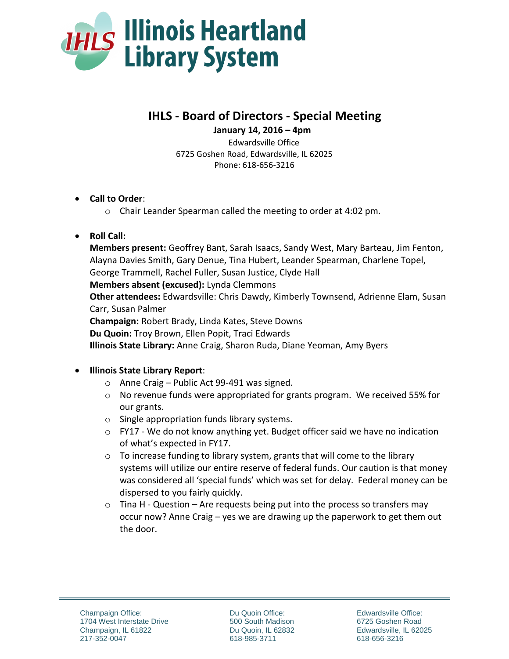

# **IHLS - Board of Directors - Special Meeting**

 **January 14, 2016 – 4pm**

Edwardsville Office 6725 Goshen Road, Edwardsville, IL 62025 Phone: 618-656-3216

- **Call to Order**:
	- o Chair Leander Spearman called the meeting to order at 4:02 pm.

# **Roll Call:**

**Members present:** Geoffrey Bant, Sarah Isaacs, Sandy West, Mary Barteau, Jim Fenton, Alayna Davies Smith, Gary Denue, Tina Hubert, Leander Spearman, Charlene Topel, George Trammell, Rachel Fuller, Susan Justice, Clyde Hall **Members absent (excused):** Lynda Clemmons **Other attendees:** Edwardsville: Chris Dawdy, Kimberly Townsend, Adrienne Elam, Susan Carr, Susan Palmer **Champaign:** Robert Brady, Linda Kates, Steve Downs **Du Quoin:** Troy Brown, Ellen Popit, Traci Edwards **Illinois State Library:** Anne Craig, Sharon Ruda, Diane Yeoman, Amy Byers

### **Illinois State Library Report**:

- $\circ$  Anne Craig Public Act 99-491 was signed.
- $\circ$  No revenue funds were appropriated for grants program. We received 55% for our grants.
- o Single appropriation funds library systems.
- $\circ$  FY17 We do not know anything yet. Budget officer said we have no indication of what's expected in FY17.
- $\circ$  To increase funding to library system, grants that will come to the library systems will utilize our entire reserve of federal funds. Our caution is that money was considered all 'special funds' which was set for delay. Federal money can be dispersed to you fairly quickly.
- $\circ$  Tina H Question Are requests being put into the process so transfers may occur now? Anne Craig – yes we are drawing up the paperwork to get them out the door.

Du Quoin Office: 500 South Madison Du Quoin, IL 62832 618-985-3711